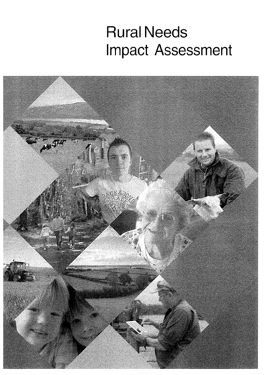# Rural Needs mpact Assessment

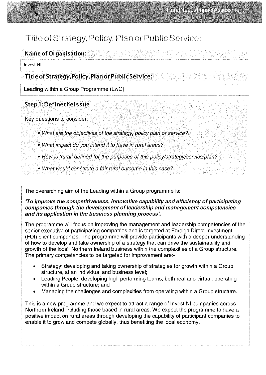

### Name of Organisation

Invest NI

# Title ofstrategy, Policy, Plan or PublicService:

Leading within a Group Programme (LwG)

# Step 1: Define the Issue

Key questions to consider:

- What are the objectives of the strategy, policy plan or service?
- What impact do you intend it to have in rural areas?
- How is 'rural' defined for the purposes of this policy/strategy/service/plan?
- What would constitute a fair rural outcome in this case?

The overarching aim of the Leading within a Group programme is:

'To improve the competitiveness, innovative capability and efficiency of participating companies through the development of leadership and management competencies and its application in the business planning process'.

The programme will focus on improving the management and leadership competencies of the senior executive of participating companies and is targeted at Foreign Direct Investment (FDI) client companies. The programme will provide participants with a deeper understanding of how to develop and take ownership of a strategy that can drive the sustainability and growth of the local, Northern Ireland business within the complexities of a Group structure. The primary competencies to be targeted for improvement are:-

- Strategy: developing and taking ownership of strategies for growth within a Group structure, at an individual and business level;
- Leading People: developing high performing teams, both real and virtual, operating within a Group structure; and
- Managing the challenges and complexities from operating within a Group structure.

This is a new programme and we expect to attract a range of Invest NI companies across Northern Ireland including those based in rural areas. We expect the programme to have a positive impact on rural areas through developing the capability of participant companies to enable it to grow and compete globally, thus benefiting the local economy.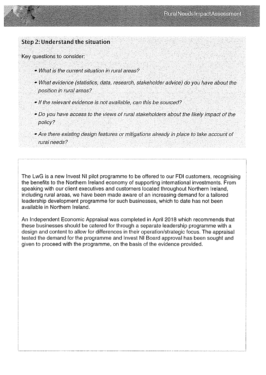

#### Step 2: Understand the situation

Key questions to consider:

- What is the current situation in rural areas?
- What evidence (statistics, data, research, stakeholder advice) do you have about the position in rural areas?
- If the relevant evidence is not available, can this be sourced?
- Do you have access to the views of rural stakeholders about the likely impact of the policy?
- Are there existing design features or mitigations already in place to take account of rural needs?

The LwG is a new Invest NI pilot programme to be offered to our FDI customers, recognising the benefits to the Northern Ireland economy of supporting international investments. From speaking with our client executives and customers located throughout Northern Ireland, including rural areas, we have been made aware of an increasing demand for a tailored leadership development programme for such businesses, which to date has not been available in Northern Ireland.

An Independent Economic Appraisal was completed in April 2018 which recommends that these businesses should be catered for through a separate leadership programme with a design and content to allow for differences in their operation/strategic focus. The appraisal tested the demand for the programme and Invest NI Board approval has been sought and given to proceed with the programme, on the basis of the evidence provided.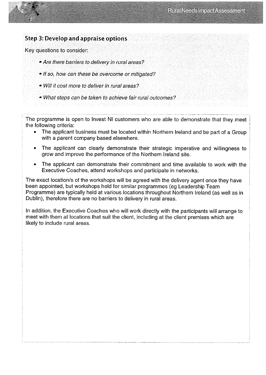#### Step 3: Develop and appraise options

Key questions to consider:

- Are there barriers to delivery in rural areas?
- If so, how can these be overcome or mitigated?
- Will it cost more to deliver in rural areas?
- What steps can be taken to achieve fair rural outcomes?

The programme is open to Invest NI customers who are able to demonstrate that they meet the following criteria:

- The applicant business must be located within Northern Ireland and be part of a Group with a parent company based elsewhere.
- The applicant can clearly demonstrate their strategic imperative and willingness to grow and improve the performance of the Northern Ireland site.
- The applicant can demonstrate their commitment and time available to work with the Executive Coaches, attend workshops and participate in networks.

The exact location/s of the workshops will be agreed with the delivery agent once they have been appointed, but workshops held for similar programmes (eg Leadership Team Programme) are typically held at various locations throughout Northern Ireland (as well as in Dublin), therefore there are no barriers to delivery in rural areas.

In addition, the Executive Coaches who will work directly with the participants will arrange to meet with them at locations that suit the client, including at the client premises which are likely to include rural areas.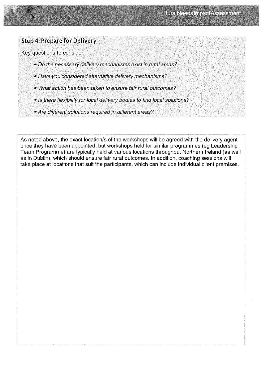

#### Step 4: Prepare for Delivery

Key questions to consider:

- Do the necessary delivery mechanisms exist in rural areas?
- Have you considered alternative delivery mechanisms?
- What action has been taken to ensure fair rural outcomes?
- Is there flexibility for local delivery bodies to find local solutions?
- Are different solutions required in different areas?

As noted above, the exact location/s of the workshops will be agreed with the delivery agent once they have been appointed, but workshops held for similar programmes (eg Leadership Team Programme) are typically held at various locations throughout Northern Ireland (as well as in Dublin), which should ensure fair rural outcomes. In addition, coaching sessions will take place at locations that suit the participants, which can include individual client premises.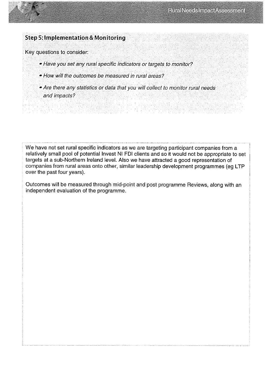# Step 5: Implementation & Monitoring

Key questions to consider:

- Have you set any rural specific indicators or targets to monitor?
- How will the outcomes be measured in rural areas?
- Are there any statistics or data that you will collect to monitor rural needs and impacts?

We have not set rural specific indicators as we are targeting participant companies from a relatively small pool of potential Invest NI FDI clients and so it would not be appropriate to set targets at a sub-Northern Ireland level. Also we have attracted a good representation of companies from rural areas onto other, similar leadership development programmes (eg LTP over the past four years).

Outcomes will be measured through mid-point and post programme Reviews, along with an independent evaluation of the programme.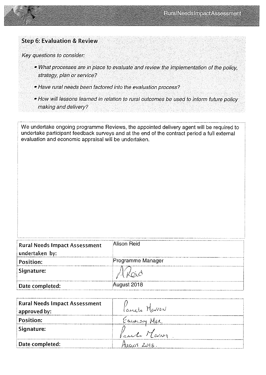

#### Step 6: Evaluation & Review

Key questions to consider:

- What processes are in place to evaluate and review the implementation of the policy, strategy, plan or service?
- Have rural needs been factored into the evaluation process?
- . How will lessons learned in relation to rural outcomes be used to inform future policy making and delivery?

We undertake ongoing programme Reviews, the appointed delivery agent will be required to undertake participant feedback surveys and at the end of the contract period a full external evaluation and economic appraisal will be undertaken

| <b>Rural Needs Impact Assessment</b> | Alison Reid       |
|--------------------------------------|-------------------|
| undertaken by:                       |                   |
| <b>Position:</b>                     | Programme Manager |
| Signature:                           |                   |
| Date completed:                      | August 2018       |

| <b>Rural Needs Impact Assessment</b><br>approved by: | <i>l'ancie</i> Marsa |
|------------------------------------------------------|----------------------|
| Position:                                            | Equation MGR         |
| Signature:                                           | Paul Mars            |
| Date completed:                                      | 411.6051 2018        |